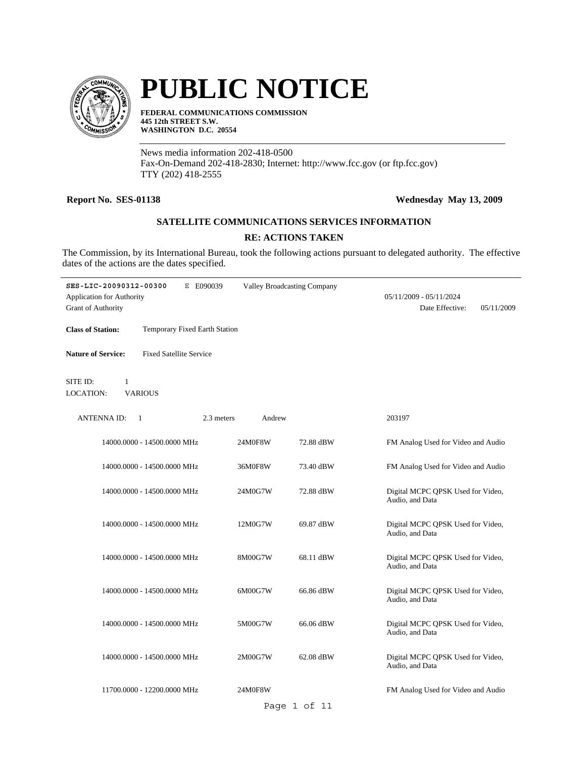

# **PUBLIC NOTICE**

**FEDERAL COMMUNICATIONS COMMISSION 445 12th STREET S.W. WASHINGTON D.C. 20554**

News media information 202-418-0500 Fax-On-Demand 202-418-2830; Internet: http://www.fcc.gov (or ftp.fcc.gov) TTY (202) 418-2555

### **Report No. SES-01138 Wednesday May 13, 2009**

## **SATELLITE COMMUNICATIONS SERVICES INFORMATION**

### **RE: ACTIONS TAKEN**

The Commission, by its International Bureau, took the following actions pursuant to delegated authority. The effective dates of the actions are the dates specified.

| SES-LIC-20090312-00300<br>Application for Authority<br><b>Grant of Authority</b> | E E090039                     | <b>Valley Broadcasting Company</b> | 05/11/2009 - 05/11/2024<br>Date Effective:           | 05/11/2009 |
|----------------------------------------------------------------------------------|-------------------------------|------------------------------------|------------------------------------------------------|------------|
| <b>Class of Station:</b>                                                         | Temporary Fixed Earth Station |                                    |                                                      |            |
| <b>Fixed Satellite Service</b><br><b>Nature of Service:</b>                      |                               |                                    |                                                      |            |
| SITE ID:<br>1<br><b>VARIOUS</b><br><b>LOCATION:</b>                              |                               |                                    |                                                      |            |
| <b>ANTENNA ID:</b><br>1                                                          | 2.3 meters<br>Andrew          |                                    | 203197                                               |            |
| 14000.0000 - 14500.0000 MHz                                                      | 24M0F8W                       | 72.88 dBW                          | FM Analog Used for Video and Audio                   |            |
| 14000.0000 - 14500.0000 MHz                                                      | 36M0F8W                       | 73.40 dBW                          | FM Analog Used for Video and Audio                   |            |
| 14000.0000 - 14500.0000 MHz                                                      | 24M0G7W                       | 72.88 dBW                          | Digital MCPC QPSK Used for Video,<br>Audio, and Data |            |
| 14000.0000 - 14500.0000 MHz                                                      | 12M0G7W                       | 69.87 dBW                          | Digital MCPC QPSK Used for Video,<br>Audio, and Data |            |
| 14000.0000 - 14500.0000 MHz                                                      | 8M00G7W                       | 68.11 dBW                          | Digital MCPC QPSK Used for Video,<br>Audio, and Data |            |
| 14000.0000 - 14500.0000 MHz                                                      | 6M00G7W                       | 66.86 dBW                          | Digital MCPC QPSK Used for Video,<br>Audio, and Data |            |
| 14000.0000 - 14500.0000 MHz                                                      | 5M00G7W                       | 66.06 dBW                          | Digital MCPC QPSK Used for Video,<br>Audio, and Data |            |
| 14000.0000 - 14500.0000 MHz                                                      | 2M00G7W                       | 62.08 dBW                          | Digital MCPC QPSK Used for Video,<br>Audio, and Data |            |
| 11700.0000 - 12200.0000 MHz                                                      | 24M0F8W                       | Page 1 of 11                       | FM Analog Used for Video and Audio                   |            |
|                                                                                  |                               |                                    |                                                      |            |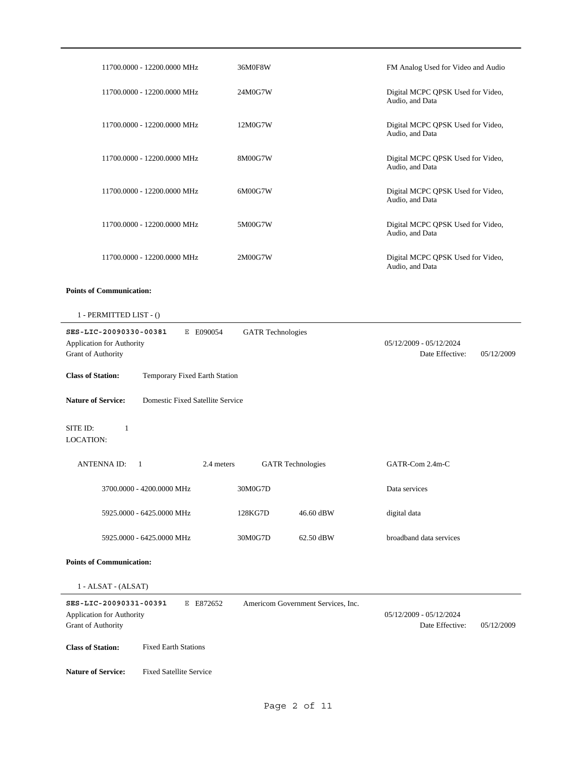|                                                                                  | 11700.0000 - 12200.0000 MHz      | 36M0F8W                  |                                    | FM Analog Used for Video and Audio                   |            |
|----------------------------------------------------------------------------------|----------------------------------|--------------------------|------------------------------------|------------------------------------------------------|------------|
|                                                                                  | 11700.0000 - 12200.0000 MHz      | 24M0G7W                  |                                    | Digital MCPC QPSK Used for Video,<br>Audio, and Data |            |
|                                                                                  | 11700.0000 - 12200.0000 MHz      | 12M0G7W                  |                                    | Digital MCPC QPSK Used for Video,<br>Audio, and Data |            |
|                                                                                  | 11700.0000 - 12200.0000 MHz      | 8M00G7W                  |                                    | Digital MCPC QPSK Used for Video,<br>Audio, and Data |            |
|                                                                                  | 11700.0000 - 12200.0000 MHz      | 6M00G7W                  |                                    | Digital MCPC QPSK Used for Video,<br>Audio, and Data |            |
|                                                                                  | 11700.0000 - 12200.0000 MHz      | 5M00G7W                  |                                    | Digital MCPC QPSK Used for Video,<br>Audio, and Data |            |
|                                                                                  | 11700.0000 - 12200.0000 MHz      | 2M00G7W                  |                                    | Digital MCPC QPSK Used for Video,<br>Audio, and Data |            |
| <b>Points of Communication:</b>                                                  |                                  |                          |                                    |                                                      |            |
| 1 - PERMITTED LIST - ()                                                          |                                  |                          |                                    |                                                      |            |
| SES-LIC-20090330-00381<br>Application for Authority<br><b>Grant of Authority</b> | E E090054                        | <b>GATR</b> Technologies |                                    | 05/12/2009 - 05/12/2024<br>Date Effective:           | 05/12/2009 |
| <b>Class of Station:</b>                                                         | Temporary Fixed Earth Station    |                          |                                    |                                                      |            |
| <b>Nature of Service:</b>                                                        | Domestic Fixed Satellite Service |                          |                                    |                                                      |            |
| SITE ID:<br>1<br><b>LOCATION:</b>                                                |                                  |                          |                                    |                                                      |            |
| <b>ANTENNA ID:</b>                                                               | $\blacksquare$<br>2.4 meters     |                          | <b>GATR</b> Technologies           | GATR-Com 2.4m-C                                      |            |
|                                                                                  | 3700.0000 - 4200.0000 MHz        | 30M0G7D                  |                                    | Data services                                        |            |
|                                                                                  | 5925.0000 - 6425.0000 MHz        | 128KG7D                  | 46.60 dBW                          | digital data                                         |            |
|                                                                                  | 5925.0000 - 6425.0000 MHz        | 30M0G7D                  | 62.50 dBW                          | broadband data services                              |            |
| <b>Points of Communication:</b>                                                  |                                  |                          |                                    |                                                      |            |
| 1 - ALSAT - (ALSAT)                                                              |                                  |                          |                                    |                                                      |            |
| SES-LIC-20090331-00391<br>Application for Authority<br>Grant of Authority        | E E872652                        |                          | Americom Government Services, Inc. | 05/12/2009 - 05/12/2024<br>Date Effective:           | 05/12/2009 |
| <b>Class of Station:</b>                                                         | <b>Fixed Earth Stations</b>      |                          |                                    |                                                      |            |
| <b>Nature of Service:</b>                                                        | <b>Fixed Satellite Service</b>   |                          |                                    |                                                      |            |
|                                                                                  |                                  |                          |                                    |                                                      |            |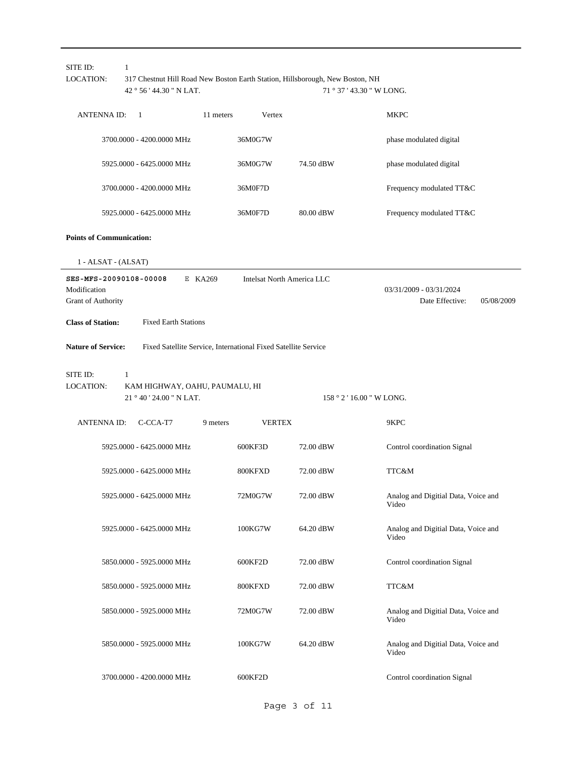| <b>LOCATION:</b>                                             | 1<br>42 ° 56 ' 44.30 " N LAT.                                   |           |                                                                | 317 Chestnut Hill Road New Boston Earth Station, Hillsborough, New Boston, NH<br>71 ° 37 ' 43.30 " W LONG. |                                                          |
|--------------------------------------------------------------|-----------------------------------------------------------------|-----------|----------------------------------------------------------------|------------------------------------------------------------------------------------------------------------|----------------------------------------------------------|
| <b>ANTENNAID:</b>                                            | -1                                                              | 11 meters | Vertex                                                         |                                                                                                            | <b>MKPC</b>                                              |
|                                                              | 3700.0000 - 4200.0000 MHz                                       |           | 36M0G7W                                                        |                                                                                                            | phase modulated digital                                  |
|                                                              | 5925.0000 - 6425.0000 MHz                                       |           | 36M0G7W                                                        | 74.50 dBW                                                                                                  | phase modulated digital                                  |
|                                                              | 3700.0000 - 4200.0000 MHz                                       |           | 36M0F7D                                                        |                                                                                                            | Frequency modulated TT&C                                 |
|                                                              | 5925.0000 - 6425.0000 MHz                                       |           | 36M0F7D                                                        | 80.00 dBW                                                                                                  | Frequency modulated TT&C                                 |
| <b>Points of Communication:</b>                              |                                                                 |           |                                                                |                                                                                                            |                                                          |
| 1 - ALSAT - (ALSAT)                                          |                                                                 |           |                                                                |                                                                                                            |                                                          |
| SES-MFS-20090108-00008<br>Modification<br>Grant of Authority |                                                                 | E KA269   | Intelsat North America LLC                                     |                                                                                                            | 03/31/2009 - 03/31/2024<br>Date Effective:<br>05/08/2009 |
| <b>Class of Station:</b>                                     | <b>Fixed Earth Stations</b>                                     |           |                                                                |                                                                                                            |                                                          |
| <b>Nature of Service:</b>                                    |                                                                 |           | Fixed Satellite Service, International Fixed Satellite Service |                                                                                                            |                                                          |
| SITE ID:<br><b>LOCATION:</b>                                 | 1<br>KAM HIGHWAY, OAHU, PAUMALU, HI<br>21 ° 40 ' 24.00 " N LAT. |           |                                                                | 158 ° 2 ' 16.00 " W LONG.                                                                                  |                                                          |
| <b>ANTENNA ID:</b>                                           |                                                                 |           |                                                                |                                                                                                            |                                                          |
|                                                              | C-CCA-T7                                                        | 9 meters  | <b>VERTEX</b>                                                  |                                                                                                            | 9KPC                                                     |
|                                                              | 5925.0000 - 6425.0000 MHz                                       |           | 600KF3D                                                        | 72.00 dBW                                                                                                  | Control coordination Signal                              |
|                                                              | 5925.0000 - 6425.0000 MHz                                       |           | 800KFXD                                                        | 72.00 dBW                                                                                                  | TTC&M                                                    |
|                                                              | 5925.0000 - 6425.0000 MHz                                       |           | 72M0G7W                                                        | 72.00 dBW                                                                                                  | Analog and Digitial Data, Voice and<br>Video             |
|                                                              | 5925.0000 - 6425.0000 MHz                                       |           | 100KG7W                                                        | 64.20 dBW                                                                                                  | Analog and Digitial Data, Voice and<br>Video             |
|                                                              | 5850.0000 - 5925.0000 MHz                                       |           | 600KF2D                                                        | 72.00 dBW                                                                                                  | Control coordination Signal                              |
|                                                              | 5850.0000 - 5925.0000 MHz                                       |           | 800KFXD                                                        | 72.00 dBW                                                                                                  | TTC&M                                                    |
|                                                              | 5850.0000 - 5925.0000 MHz                                       |           | 72M0G7W                                                        | 72.00 dBW                                                                                                  | Analog and Digitial Data, Voice and<br>Video             |
|                                                              | 5850.0000 - 5925.0000 MHz                                       |           | 100KG7W                                                        | 64.20 dBW                                                                                                  | Analog and Digitial Data, Voice and<br>Video             |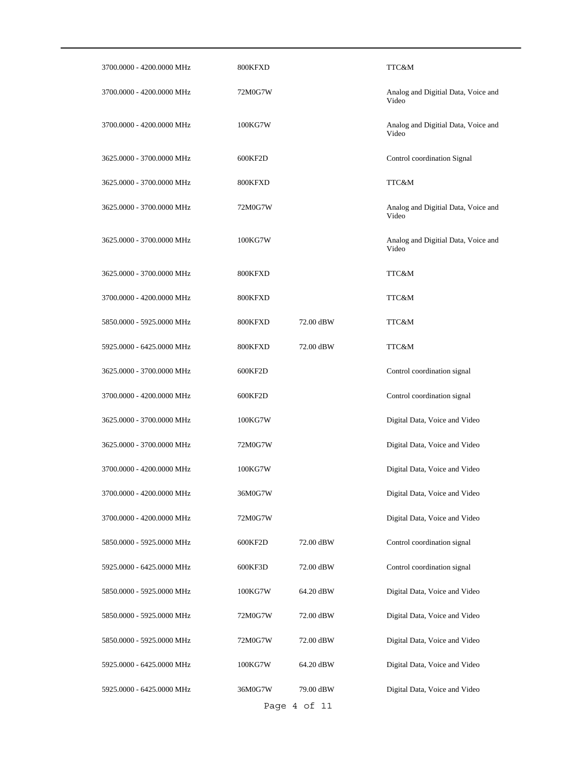| 3700.0000 - 4200.0000 MHz | 800KFXD |              | TTC&M                                        |
|---------------------------|---------|--------------|----------------------------------------------|
| 3700.0000 - 4200.0000 MHz | 72M0G7W |              | Analog and Digitial Data, Voice and<br>Video |
| 3700.0000 - 4200.0000 MHz | 100KG7W |              | Analog and Digitial Data, Voice and<br>Video |
| 3625.0000 - 3700.0000 MHz | 600KF2D |              | Control coordination Signal                  |
| 3625.0000 - 3700.0000 MHz | 800KFXD |              | TTC&M                                        |
| 3625.0000 - 3700.0000 MHz | 72M0G7W |              | Analog and Digitial Data, Voice and<br>Video |
| 3625.0000 - 3700.0000 MHz | 100KG7W |              | Analog and Digitial Data, Voice and<br>Video |
| 3625.0000 - 3700.0000 MHz | 800KFXD |              | TTC&M                                        |
| 3700,0000 - 4200,0000 MHz | 800KFXD |              | TTC&M                                        |
| 5850.0000 - 5925.0000 MHz | 800KFXD | 72.00 dBW    | TTC&M                                        |
| 5925.0000 - 6425.0000 MHz | 800KFXD | 72.00 dBW    | TTC&M                                        |
| 3625.0000 - 3700.0000 MHz | 600KF2D |              | Control coordination signal                  |
| 3700.0000 - 4200.0000 MHz | 600KF2D |              | Control coordination signal                  |
| 3625.0000 - 3700.0000 MHz | 100KG7W |              | Digital Data, Voice and Video                |
| 3625.0000 - 3700.0000 MHz | 72M0G7W |              | Digital Data, Voice and Video                |
| 3700.0000 - 4200.0000 MHz | 100KG7W |              | Digital Data, Voice and Video                |
| 3700.0000 - 4200.0000 MHz | 36M0G7W |              | Digital Data, Voice and Video                |
| 3700.0000 - 4200.0000 MHz | 72M0G7W |              | Digital Data, Voice and Video                |
| 5850.0000 - 5925.0000 MHz | 600KF2D | 72.00 dBW    | Control coordination signal                  |
| 5925.0000 - 6425.0000 MHz | 600KF3D | 72.00 dBW    | Control coordination signal                  |
| 5850.0000 - 5925.0000 MHz | 100KG7W | 64.20 dBW    | Digital Data, Voice and Video                |
| 5850.0000 - 5925.0000 MHz | 72M0G7W | 72.00 dBW    | Digital Data, Voice and Video                |
| 5850.0000 - 5925.0000 MHz | 72M0G7W | 72.00 dBW    | Digital Data, Voice and Video                |
| 5925.0000 - 6425.0000 MHz | 100KG7W | 64.20 dBW    | Digital Data, Voice and Video                |
| 5925.0000 - 6425.0000 MHz | 36M0G7W | 79.00 dBW    | Digital Data, Voice and Video                |
|                           |         | Page 4 of 11 |                                              |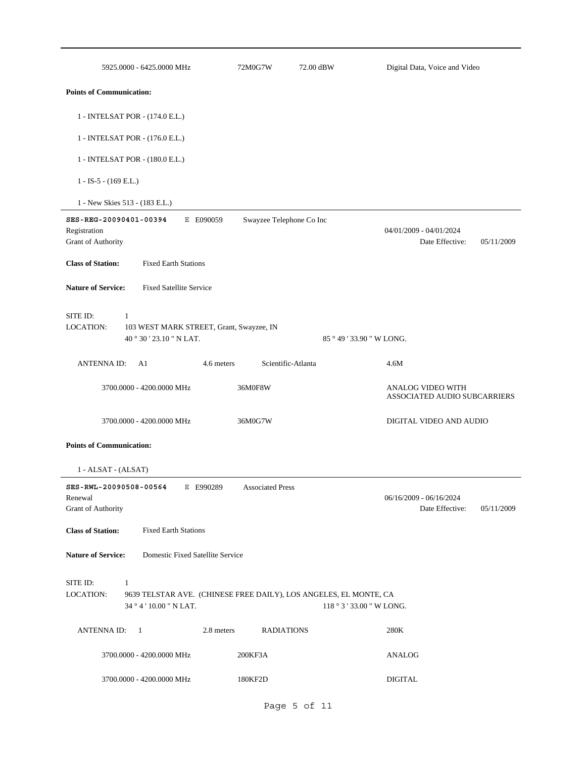| 5925.0000 - 6425.0000 MHz                                                | 72M0G7W                                                           | 72.00 dBW                | Digital Data, Voice and Video                            |            |
|--------------------------------------------------------------------------|-------------------------------------------------------------------|--------------------------|----------------------------------------------------------|------------|
| <b>Points of Communication:</b>                                          |                                                                   |                          |                                                          |            |
| 1 - INTELSAT POR - (174.0 E.L.)                                          |                                                                   |                          |                                                          |            |
| 1 - INTELSAT POR - (176.0 E.L.)                                          |                                                                   |                          |                                                          |            |
| 1 - INTELSAT POR - (180.0 E.L.)                                          |                                                                   |                          |                                                          |            |
| $1 - IS-5 - (169 E.L.)$                                                  |                                                                   |                          |                                                          |            |
| 1 - New Skies 513 - (183 E.L.)                                           |                                                                   |                          |                                                          |            |
| SES-REG-20090401-00394<br>Registration<br>Grant of Authority             | E E090059                                                         | Swayzee Telephone Co Inc | 04/01/2009 - 04/01/2024<br>Date Effective:               | 05/11/2009 |
| <b>Class of Station:</b><br><b>Fixed Earth Stations</b>                  |                                                                   |                          |                                                          |            |
| <b>Nature of Service:</b><br><b>Fixed Satellite Service</b>              |                                                                   |                          |                                                          |            |
| SITE ID:<br>$\mathbf{1}$<br>LOCATION:<br>40°30'23.10" N LAT.             | 103 WEST MARK STREET, Grant, Swayzee, IN                          |                          | 85 ° 49 ' 33.90 " W LONG.                                |            |
| ANTENNA ID: A1                                                           | 4.6 meters                                                        | Scientific-Atlanta       | 4.6M                                                     |            |
| 3700.0000 - 4200.0000 MHz                                                | 36M0F8W                                                           |                          | <b>ANALOG VIDEO WITH</b><br>ASSOCIATED AUDIO SUBCARRIERS |            |
| 3700.0000 - 4200.0000 MHz                                                | 36M0G7W                                                           |                          | DIGITAL VIDEO AND AUDIO                                  |            |
| <b>Points of Communication:</b>                                          |                                                                   |                          |                                                          |            |
| 1 - ALSAT - (ALSAT)                                                      |                                                                   |                          |                                                          |            |
| SES-RWL-20090508-00564 E E990289<br>Renewal<br><b>Grant of Authority</b> | <b>Associated Press</b>                                           |                          | 06/16/2009 - 06/16/2024<br>Date Effective:               | 05/11/2009 |
| <b>Class of Station:</b><br><b>Fixed Earth Stations</b>                  |                                                                   |                          |                                                          |            |
| <b>Nature of Service:</b>                                                | Domestic Fixed Satellite Service                                  |                          |                                                          |            |
| SITE ID:<br>$\mathbf{1}$<br><b>LOCATION:</b><br>34 ° 4 ' 10.00 " N LAT.  | 9639 TELSTAR AVE. (CHINESE FREE DAILY), LOS ANGELES, EL MONTE, CA |                          | 118 ° 3 ' 33.00 " W LONG.                                |            |
| ANTENNA ID:<br>$\overline{1}$                                            | 2.8 meters                                                        | <b>RADIATIONS</b>        | 280K                                                     |            |
| 3700.0000 - 4200.0000 MHz                                                | 200KF3A                                                           |                          | ANALOG                                                   |            |
| 3700.0000 - 4200.0000 MHz                                                | 180KF2D                                                           |                          | <b>DIGITAL</b>                                           |            |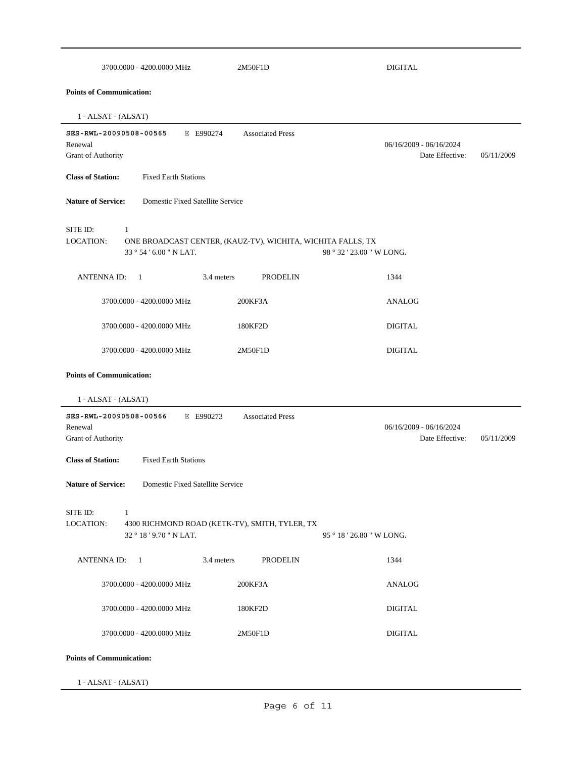| 3700.0000 - 4200.0000 MHz                                                                   | 2M50F1D                                                     | <b>DIGITAL</b>                                             |
|---------------------------------------------------------------------------------------------|-------------------------------------------------------------|------------------------------------------------------------|
| <b>Points of Communication:</b>                                                             |                                                             |                                                            |
| 1 - ALSAT - (ALSAT)                                                                         |                                                             |                                                            |
| SES-RWL-20090508-00565<br>E E990274<br>Renewal<br>Grant of Authority                        | <b>Associated Press</b>                                     | 06/16/2009 - 06/16/2024<br>Date Effective:<br>05/11/2009   |
| <b>Class of Station:</b><br><b>Fixed Earth Stations</b>                                     |                                                             |                                                            |
| <b>Nature of Service:</b><br>Domestic Fixed Satellite Service                               |                                                             |                                                            |
| SITE ID:<br>-1<br>LOCATION:<br>33 ° 54 ' 6.00 " N LAT.                                      | ONE BROADCAST CENTER, (KAUZ-TV), WICHITA, WICHITA FALLS, TX | 98 ° 32 ' 23.00 " W LONG.                                  |
| <b>ANTENNAID:</b><br>- 1                                                                    | 3.4 meters<br><b>PRODELIN</b>                               | 1344                                                       |
| 3700.0000 - 4200.0000 MHz                                                                   | 200KF3A                                                     | <b>ANALOG</b>                                              |
| 3700.0000 - 4200.0000 MHz                                                                   | 180KF2D                                                     | <b>DIGITAL</b>                                             |
| 3700.0000 - 4200.0000 MHz                                                                   | 2M50F1D                                                     | <b>DIGITAL</b>                                             |
| 1 - ALSAT - (ALSAT)<br>SES-RWL-20090508-00566<br>E E990273<br>Renewal<br>Grant of Authority | <b>Associated Press</b>                                     | $06/16/2009 - 06/16/2024$<br>Date Effective:<br>05/11/2009 |
| <b>Class of Station:</b><br><b>Fixed Earth Stations</b>                                     |                                                             |                                                            |
| <b>Nature of Service:</b><br>Domestic Fixed Satellite Service                               |                                                             |                                                            |
| SITE ID:<br>$\mathbf{1}$<br><b>LOCATION:</b><br>32 ° 18 ' 9.70 " N LAT.                     | 4300 RICHMOND ROAD (KETK-TV), SMITH, TYLER, TX              | 95 ° 18 ' 26.80 " W LONG.                                  |
| ANTENNA ID: 1                                                                               | 3.4 meters<br>PRODELIN                                      | 1344                                                       |
| 3700.0000 - 4200.0000 MHz                                                                   | 200KF3A                                                     | ANALOG                                                     |
| 3700.0000 - 4200.0000 MHz                                                                   | 180KF2D                                                     | <b>DIGITAL</b>                                             |
| 3700.0000 - 4200.0000 MHz                                                                   | 2M50F1D                                                     | <b>DIGITAL</b>                                             |
| <b>Points of Communication:</b>                                                             |                                                             |                                                            |
| 1 - ALSAT - (ALSAT)                                                                         |                                                             |                                                            |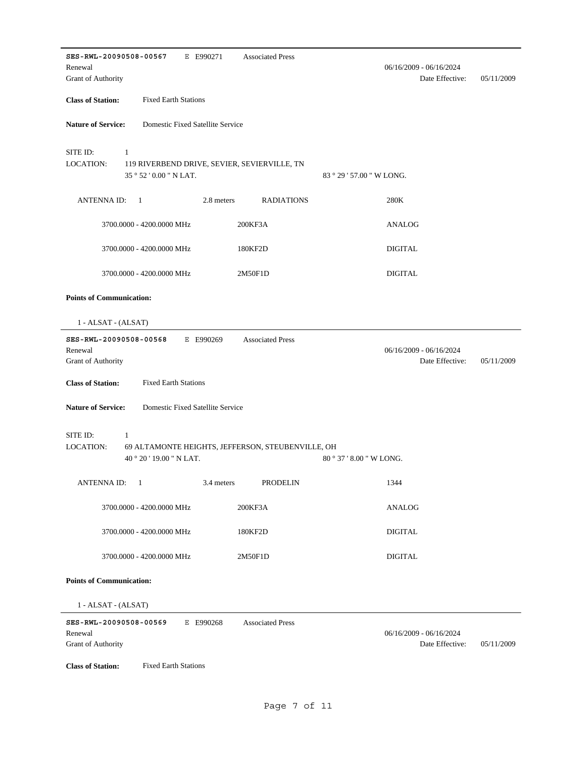| SES-RWL-20090508-00567<br>E E990271                                                        | <b>Associated Press</b>        |                                            |            |
|--------------------------------------------------------------------------------------------|--------------------------------|--------------------------------------------|------------|
| Renewal<br>Grant of Authority                                                              |                                | 06/16/2009 - 06/16/2024<br>Date Effective: | 05/11/2009 |
|                                                                                            |                                |                                            |            |
| <b>Class of Station:</b><br><b>Fixed Earth Stations</b>                                    |                                |                                            |            |
| <b>Nature of Service:</b><br>Domestic Fixed Satellite Service                              |                                |                                            |            |
| SITE ID:<br>1                                                                              |                                |                                            |            |
| LOCATION:<br>119 RIVERBEND DRIVE, SEVIER, SEVIERVILLE, TN<br>$35°52'0.00"$ N LAT.          | $83^{\circ}29'57.00''$ W LONG. |                                            |            |
| ANTENNA ID:<br>2.8 meters<br>$\overline{1}$                                                | <b>RADIATIONS</b>              | 280K                                       |            |
| 3700.0000 - 4200.0000 MHz                                                                  | 200KF3A                        | <b>ANALOG</b>                              |            |
| 3700.0000 - 4200.0000 MHz                                                                  | 180KF2D                        | <b>DIGITAL</b>                             |            |
| 3700.0000 - 4200.0000 MHz                                                                  | 2M50F1D                        | <b>DIGITAL</b>                             |            |
| <b>Points of Communication:</b>                                                            |                                |                                            |            |
| 1 - ALSAT - (ALSAT)                                                                        |                                |                                            |            |
| SES-RWL-20090508-00568<br>E E990269                                                        | <b>Associated Press</b>        |                                            |            |
| Renewal<br>Grant of Authority                                                              |                                | 06/16/2009 - 06/16/2024<br>Date Effective: | 05/11/2009 |
| <b>Class of Station:</b><br><b>Fixed Earth Stations</b>                                    |                                |                                            |            |
| <b>Nature of Service:</b><br>Domestic Fixed Satellite Service                              |                                |                                            |            |
| SITE ID:<br>$\mathbf{1}$                                                                   |                                |                                            |            |
| LOCATION:<br>69 ALTAMONTE HEIGHTS, JEFFERSON, STEUBENVILLE, OH<br>40 ° 20 ' 19.00 " N LAT. | $80^{\circ}37'8.00''$ W LONG.  |                                            |            |
| $3.4$ meters<br><b>ANTENNA ID:</b><br>$\blacksquare$                                       | PRODELIN                       | 1344                                       |            |
| 3700.0000 - 4200.0000 MHz                                                                  | 200KF3A                        | <b>ANALOG</b>                              |            |
| 3700.0000 - 4200.0000 MHz                                                                  | 180KF2D                        | <b>DIGITAL</b>                             |            |
| 3700.0000 - 4200.0000 MHz                                                                  | 2M50F1D                        | <b>DIGITAL</b>                             |            |
| <b>Points of Communication:</b>                                                            |                                |                                            |            |
| 1 - ALSAT - (ALSAT)                                                                        |                                |                                            |            |
| SES-RWL-20090508-00569<br>E E990268<br>Renewal<br>Grant of Authority                       | <b>Associated Press</b>        | 06/16/2009 - 06/16/2024<br>Date Effective: | 05/11/2009 |
|                                                                                            |                                |                                            |            |
| <b>Class of Station:</b><br><b>Fixed Earth Stations</b>                                    |                                |                                            |            |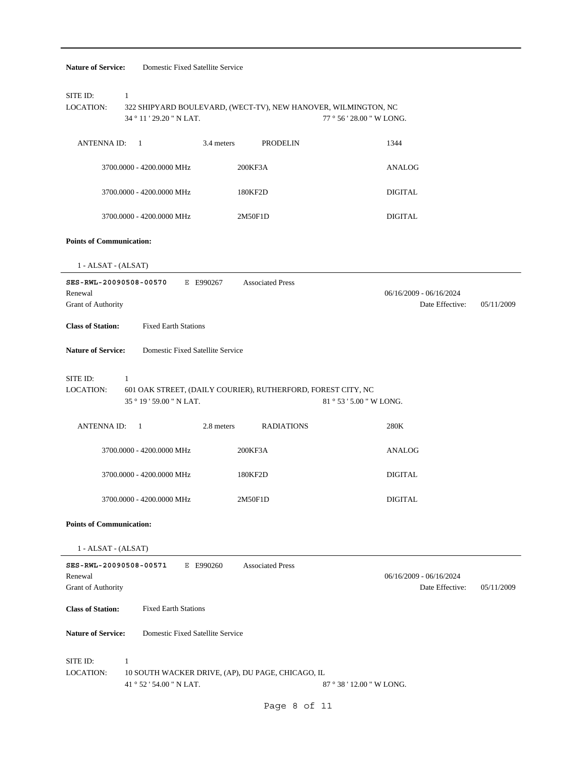| Domestic Fixed Satellite Service<br><b>Nature of Service:</b>            |                                                                |                                                            |
|--------------------------------------------------------------------------|----------------------------------------------------------------|------------------------------------------------------------|
| SITE ID:<br>$\mathbf{1}$<br><b>LOCATION:</b><br>34 ° 11 ' 29.20 " N LAT. | 322 SHIPYARD BOULEVARD, (WECT-TV), NEW HANOVER, WILMINGTON, NC | 77 ° 56 ' 28.00 " W LONG.                                  |
| ANTENNA ID: 1                                                            | <b>PRODELIN</b><br>3.4 meters                                  | 1344                                                       |
| 3700.0000 - 4200.0000 MHz                                                | 200KF3A                                                        | ANALOG                                                     |
| 3700.0000 - 4200.0000 MHz                                                | 180KF2D                                                        | DIGITAL                                                    |
| 3700.0000 - 4200.0000 MHz                                                | 2M50F1D                                                        | <b>DIGITAL</b>                                             |
| <b>Points of Communication:</b>                                          |                                                                |                                                            |
| 1 - ALSAT - (ALSAT)                                                      |                                                                |                                                            |
| SES-RWL-20090508-00570<br>Renewal<br>Grant of Authority                  | E E990267<br><b>Associated Press</b>                           | $06/16/2009 - 06/16/2024$<br>Date Effective:<br>05/11/2009 |
| <b>Class of Station:</b><br><b>Fixed Earth Stations</b>                  |                                                                |                                                            |
| <b>Nature of Service:</b><br>Domestic Fixed Satellite Service            |                                                                |                                                            |
| SITE ID:<br>1<br><b>LOCATION:</b><br>35 ° 19 ' 59.00 " N LAT.            | 601 OAK STREET, (DAILY COURIER), RUTHERFORD, FOREST CITY, NC   | 81 ° 53 ' 5.00 " W LONG.                                   |
| <b>ANTENNA ID:</b><br>$\overline{1}$                                     | 2.8 meters<br><b>RADIATIONS</b>                                | 280K                                                       |
| 3700.0000 - 4200.0000 MHz                                                | 200KF3A                                                        | ANALOG                                                     |
| 3700.0000 - 4200.0000 MHz                                                | 180KF2D                                                        | <b>DIGITAL</b>                                             |
| 3700.0000 - 4200.0000 MHz                                                | 2M50F1D                                                        | <b>DIGITAL</b>                                             |
| <b>Points of Communication:</b>                                          |                                                                |                                                            |
| 1 - ALSAT - (ALSAT)                                                      |                                                                |                                                            |
| SES-RWL-20090508-00571<br>Renewal<br>Grant of Authority                  | E E990260<br><b>Associated Press</b>                           | 06/16/2009 - 06/16/2024<br>Date Effective:<br>05/11/2009   |
| <b>Class of Station:</b><br><b>Fixed Earth Stations</b>                  |                                                                |                                                            |
| <b>Nature of Service:</b><br>Domestic Fixed Satellite Service            |                                                                |                                                            |
| SITE ID:<br>1<br><b>LOCATION:</b><br>41 ° 52 ' 54.00 " N LAT.            | 10 SOUTH WACKER DRIVE, (AP), DU PAGE, CHICAGO, IL              | 87 ° 38 ' 12.00 " W LONG.                                  |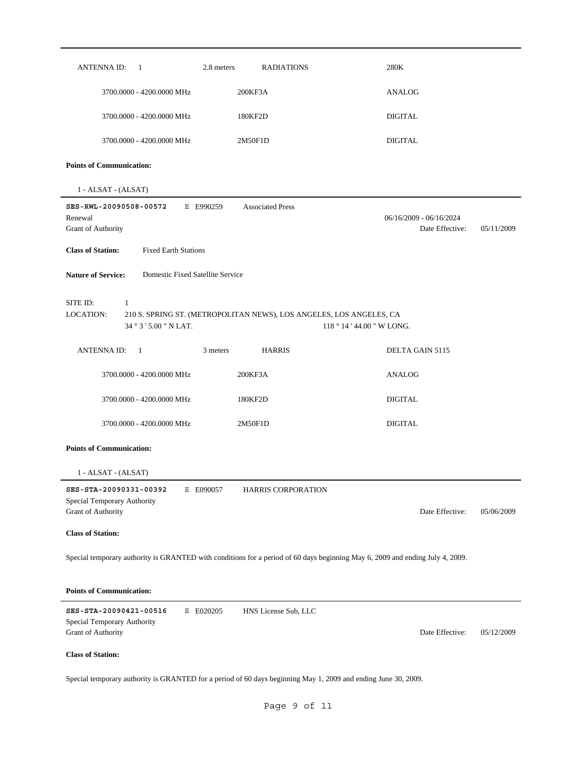| ANTENNA ID:<br>2.8 meters<br>$\overline{1}$                                                                                   | <b>RADIATIONS</b>                                                                                 | 280K                                                     |
|-------------------------------------------------------------------------------------------------------------------------------|---------------------------------------------------------------------------------------------------|----------------------------------------------------------|
| 3700.0000 - 4200.0000 MHz                                                                                                     | 200KF3A                                                                                           | <b>ANALOG</b>                                            |
| 3700.0000 - 4200.0000 MHz                                                                                                     | 180KF2D                                                                                           | <b>DIGITAL</b>                                           |
| 3700.0000 - 4200.0000 MHz                                                                                                     | 2M50F1D                                                                                           | <b>DIGITAL</b>                                           |
| <b>Points of Communication:</b>                                                                                               |                                                                                                   |                                                          |
| 1 - ALSAT - (ALSAT)                                                                                                           |                                                                                                   |                                                          |
| SES-RWL-20090508-00572<br>E E990259<br>Renewal<br>Grant of Authority                                                          | <b>Associated Press</b>                                                                           | 06/16/2009 - 06/16/2024<br>Date Effective:<br>05/11/2009 |
| <b>Class of Station:</b><br><b>Fixed Earth Stations</b>                                                                       |                                                                                                   |                                                          |
| <b>Nature of Service:</b><br>Domestic Fixed Satellite Service                                                                 |                                                                                                   |                                                          |
| SITE ID:<br>$\mathbf{1}$<br>LOCATION:<br>34 ° 3 ' 5.00 " N LAT.                                                               | 210 S. SPRING ST. (METROPOLITAN NEWS), LOS ANGELES, LOS ANGELES, CA<br>118 ° 14 ' 44.00 " W LONG. |                                                          |
| ANTENNA ID:<br>3 meters<br>$\overline{1}$                                                                                     | <b>HARRIS</b>                                                                                     | DELTA GAIN 5115                                          |
| 3700.0000 - 4200.0000 MHz                                                                                                     | 200KF3A                                                                                           | <b>ANALOG</b>                                            |
| 3700.0000 - 4200.0000 MHz                                                                                                     | 180KF2D                                                                                           | <b>DIGITAL</b>                                           |
| 3700.0000 - 4200.0000 MHz                                                                                                     | 2M50F1D                                                                                           | <b>DIGITAL</b>                                           |
| <b>Points of Communication:</b>                                                                                               |                                                                                                   |                                                          |
| 1 - ALSAT - (ALSAT)                                                                                                           |                                                                                                   |                                                          |
| SES-STA-20090331-00392<br>E E090057                                                                                           | HARRIS CORPORATION                                                                                |                                                          |
| Special Temporary Authority<br>Grant of Authority                                                                             |                                                                                                   | Date Effective:<br>05/06/2009                            |
| <b>Class of Station:</b>                                                                                                      |                                                                                                   |                                                          |
| Special temporary authority is GRANTED with conditions for a period of 60 days beginning May 6, 2009 and ending July 4, 2009. |                                                                                                   |                                                          |
| <b>Points of Communication:</b>                                                                                               |                                                                                                   |                                                          |
| SES-STA-20090421-00516<br>E E020205<br>Special Temporary Authority<br>Grant of Authority                                      | HNS License Sub, LLC                                                                              | Date Effective:<br>05/12/2009                            |
| <b>Class of Station:</b>                                                                                                      |                                                                                                   |                                                          |
| Special temporary authority is GRANTED for a period of 60 days beginning May 1, 2009 and ending June 30, 2009.                |                                                                                                   |                                                          |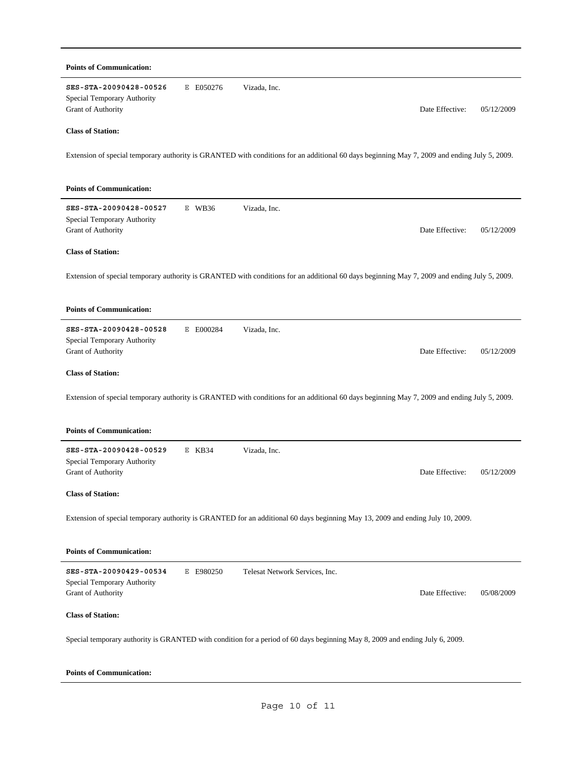| <b>Points of Communication:</b>                                                                                              |           |                                                                                                                                              |            |
|------------------------------------------------------------------------------------------------------------------------------|-----------|----------------------------------------------------------------------------------------------------------------------------------------------|------------|
| SES-STA-20090428-00526<br>Special Temporary Authority<br>Grant of Authority                                                  | E E050276 | Vizada, Inc.<br>Date Effective:                                                                                                              | 05/12/2009 |
| <b>Class of Station:</b>                                                                                                     |           |                                                                                                                                              |            |
|                                                                                                                              |           | Extension of special temporary authority is GRANTED with conditions for an additional 60 days beginning May 7, 2009 and ending July 5, 2009. |            |
| <b>Points of Communication:</b>                                                                                              |           |                                                                                                                                              |            |
| SES-STA-20090428-00527<br>Special Temporary Authority<br>Grant of Authority                                                  | $E$ WB36  | Vizada, Inc.<br>Date Effective:                                                                                                              | 05/12/2009 |
| <b>Class of Station:</b>                                                                                                     |           |                                                                                                                                              |            |
|                                                                                                                              |           | Extension of special temporary authority is GRANTED with conditions for an additional 60 days beginning May 7, 2009 and ending July 5, 2009. |            |
| <b>Points of Communication:</b>                                                                                              |           |                                                                                                                                              |            |
| SES-STA-20090428-00528<br>Special Temporary Authority<br>Grant of Authority                                                  | E E000284 | Vizada, Inc.<br>Date Effective:                                                                                                              | 05/12/2009 |
| <b>Class of Station:</b>                                                                                                     |           |                                                                                                                                              |            |
|                                                                                                                              |           | Extension of special temporary authority is GRANTED with conditions for an additional 60 days beginning May 7, 2009 and ending July 5, 2009. |            |
| <b>Points of Communication:</b>                                                                                              |           |                                                                                                                                              |            |
| SES-STA-20090428-00529<br>Special Temporary Authority<br><b>Grant of Authority</b>                                           | $E$ KB34  | Vizada, Inc.<br>Date Effective:                                                                                                              | 05/12/2009 |
| <b>Class of Station:</b>                                                                                                     |           |                                                                                                                                              |            |
|                                                                                                                              |           | Extension of special temporary authority is GRANTED for an additional 60 days beginning May 13, 2009 and ending July 10, 2009.               |            |
| <b>Points of Communication:</b>                                                                                              |           |                                                                                                                                              |            |
| SES-STA-20090429-00534<br>Special Temporary Authority<br>Grant of Authority                                                  | E E980250 | Telesat Network Services, Inc.<br>Date Effective:                                                                                            | 05/08/2009 |
| <b>Class of Station:</b>                                                                                                     |           |                                                                                                                                              |            |
| Special temporary authority is GRANTED with condition for a period of 60 days beginning May 8, 2009 and ending July 6, 2009. |           |                                                                                                                                              |            |

#### **Points of Communication:**